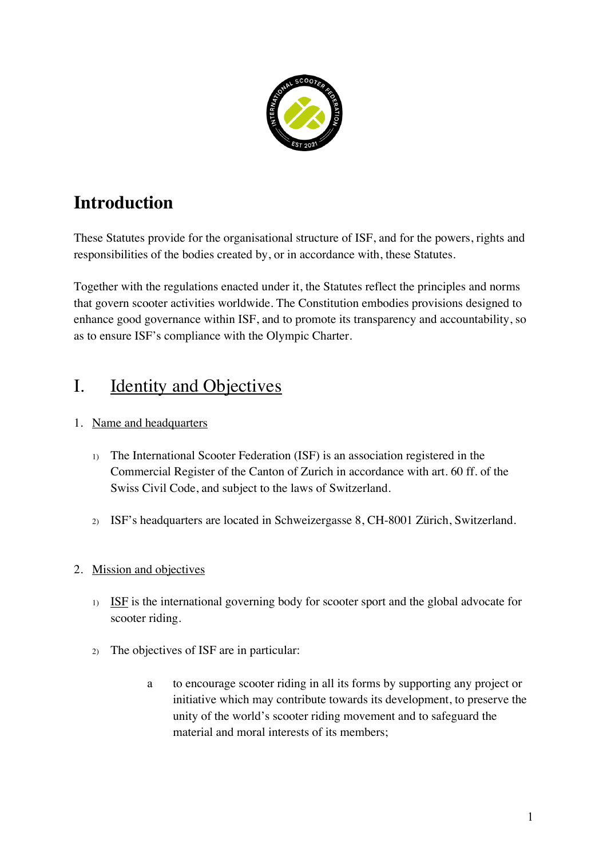

# **Introduction**

These Statutes provide for the organisational structure of ISF, and for the powers, rights and responsibilities of the bodies created by, or in accordance with, these Statutes.

Together with the regulations enacted under it, the Statutes reflect the principles and norms that govern scooter activities worldwide. The Constitution embodies provisions designed to enhance good governance within ISF, and to promote its transparency and accountability, so as to ensure ISF's compliance with the Olympic Charter.

# I. Identity and Objectives

## 1. Name and headquarters

- 1) The International Scooter Federation (ISF) is an association registered in the Commercial Register of the Canton of Zurich in accordance with art. 60 ff. of the Swiss Civil Code, and subject to the laws of Switzerland.
- 2) ISF's headquarters are located in Schweizergasse 8, CH-8001 Zürich, Switzerland.

## 2. Mission and objectives

- 1) ISF is the international governing body for scooter sport and the global advocate for scooter riding.
- 2) The objectives of ISF are in particular:
	- a to encourage scooter riding in all its forms by supporting any project or initiative which may contribute towards its development, to preserve the unity of the world's scooter riding movement and to safeguard the material and moral interests of its members;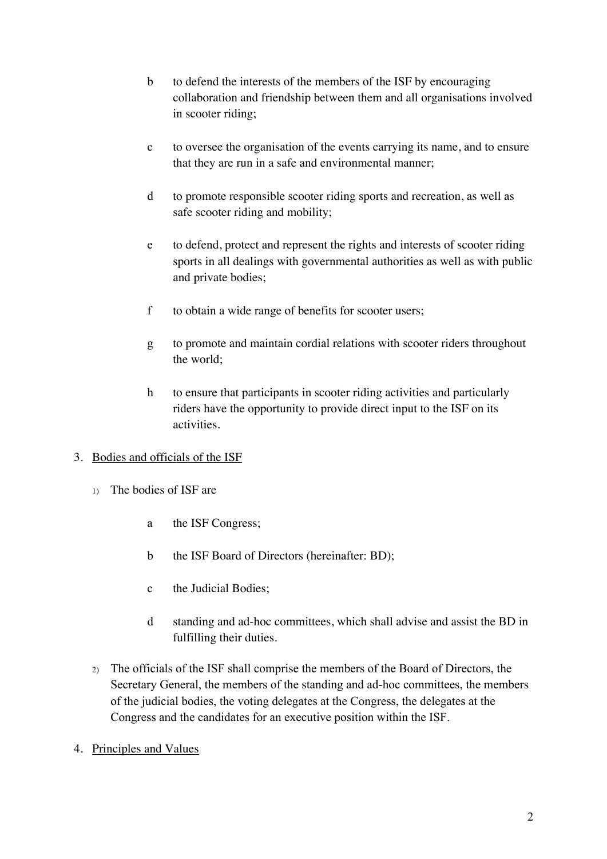- b to defend the interests of the members of the ISF by encouraging collaboration and friendship between them and all organisations involved in scooter riding;
- c to oversee the organisation of the events carrying its name, and to ensure that they are run in a safe and environmental manner;
- d to promote responsible scooter riding sports and recreation, as well as safe scooter riding and mobility;
- e to defend, protect and represent the rights and interests of scooter riding sports in all dealings with governmental authorities as well as with public and private bodies;
- f to obtain a wide range of benefits for scooter users;
- g to promote and maintain cordial relations with scooter riders throughout the world;
- h to ensure that participants in scooter riding activities and particularly riders have the opportunity to provide direct input to the ISF on its activities.

## 3. Bodies and officials of the ISF

- 1) The bodies of ISF are
	- a the ISF Congress;
	- b the ISF Board of Directors (hereinafter: BD);
	- c the Judicial Bodies;
	- d standing and ad-hoc committees, which shall advise and assist the BD in fulfilling their duties.
- 2) The officials of the ISF shall comprise the members of the Board of Directors, the Secretary General, the members of the standing and ad-hoc committees, the members of the judicial bodies, the voting delegates at the Congress, the delegates at the Congress and the candidates for an executive position within the ISF.
- 4. Principles and Values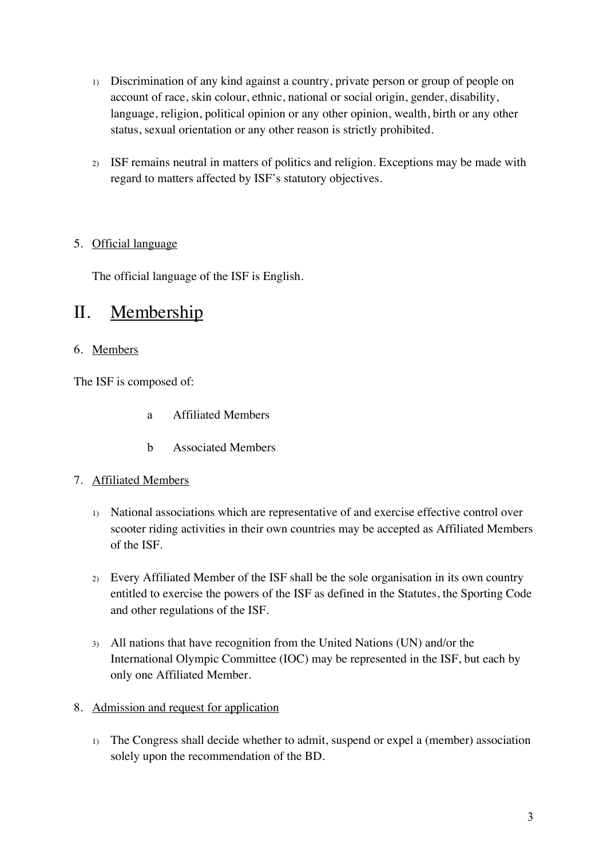- 1) Discrimination of any kind against a country, private person or group of people on account of race, skin colour, ethnic, national or social origin, gender, disability, language, religion, political opinion or any other opinion, wealth, birth or any other status, sexual orientation or any other reason is strictly prohibited.
- 2) ISF remains neutral in matters of politics and religion. Exceptions may be made with regard to matters affected by ISF's statutory objectives.

## 5. Official language

The official language of the ISF is English.

## II. Membership

#### 6. Members

The ISF is composed of:

- a Affiliated Members
- b Associated Members

#### 7. Affiliated Members

- 1) National associations which are representative of and exercise effective control over scooter riding activities in their own countries may be accepted as Affiliated Members of the ISF.
- 2) Every Affiliated Member of the ISF shall be the sole organisation in its own country entitled to exercise the powers of the ISF as defined in the Statutes, the Sporting Code and other regulations of the ISF.
- 3) All nations that have recognition from the United Nations (UN) and/or the International Olympic Committee (IOC) may be represented in the ISF, but each by only one Affiliated Member.

#### 8. Admission and request for application

1) The Congress shall decide whether to admit, suspend or expel a (member) association solely upon the recommendation of the BD.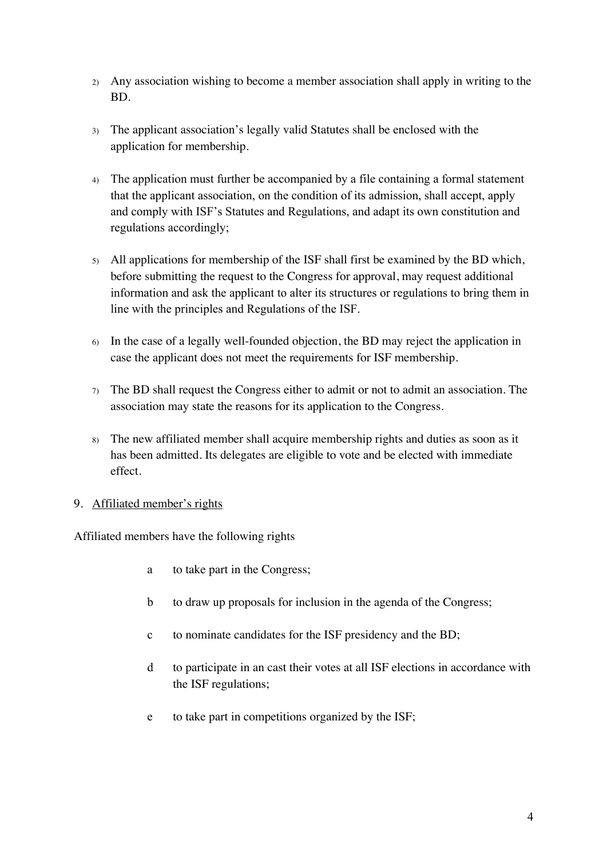- 2) Any association wishing to become a member association shall apply in writing to the BD.
- 3) The applicant association's legally valid Statutes shall be enclosed with the application for membership.
- 4) The application must further be accompanied by a file containing a formal statement that the applicant association, on the condition of its admission, shall accept, apply and comply with ISF's Statutes and Regulations, and adapt its own constitution and regulations accordingly;
- 5) All applications for membership of the ISF shall first be examined by the BD which, before submitting the request to the Congress for approval, may request additional information and ask the applicant to alter its structures or regulations to bring them in line with the principles and Regulations of the ISF.
- 6) In the case of a legally well-founded objection, the BD may reject the application in case the applicant does not meet the requirements for ISF membership.
- $7)$  The BD shall request the Congress either to admit or not to admit an association. The association may state the reasons for its application to the Congress.
- 8) The new affiliated member shall acquire membership rights and duties as soon as it has been admitted. Its delegates are eligible to vote and be elected with immediate effect.

## 9. Affiliated member's rights

Affiliated members have the following rights

- a to take part in the Congress;
- b to draw up proposals for inclusion in the agenda of the Congress;
- c to nominate candidates for the ISF presidency and the BD;
- d to participate in an cast their votes at all ISF elections in accordance with the ISF regulations;
- e to take part in competitions organized by the ISF;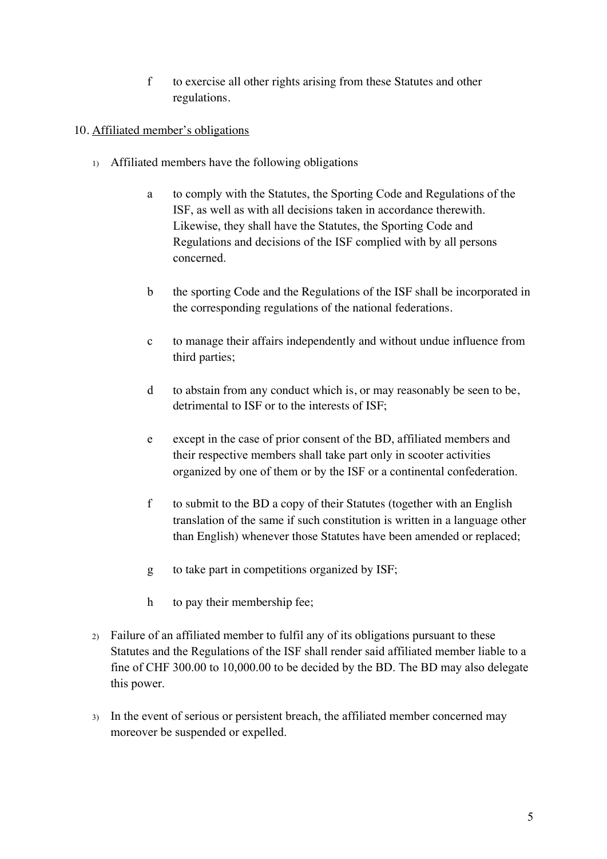f to exercise all other rights arising from these Statutes and other regulations.

#### 10. Affiliated member's obligations

- 1) Affiliated members have the following obligations
	- a to comply with the Statutes, the Sporting Code and Regulations of the ISF, as well as with all decisions taken in accordance therewith. Likewise, they shall have the Statutes, the Sporting Code and Regulations and decisions of the ISF complied with by all persons concerned.
	- b the sporting Code and the Regulations of the ISF shall be incorporated in the corresponding regulations of the national federations.
	- c to manage their affairs independently and without undue influence from third parties;
	- d to abstain from any conduct which is, or may reasonably be seen to be, detrimental to ISF or to the interests of ISF;
	- e except in the case of prior consent of the BD, affiliated members and their respective members shall take part only in scooter activities organized by one of them or by the ISF or a continental confederation.
	- f to submit to the BD a copy of their Statutes (together with an English translation of the same if such constitution is written in a language other than English) whenever those Statutes have been amended or replaced;
	- g to take part in competitions organized by ISF;
	- h to pay their membership fee;
- 2) Failure of an affiliated member to fulfil any of its obligations pursuant to these Statutes and the Regulations of the ISF shall render said affiliated member liable to a fine of CHF 300.00 to 10,000.00 to be decided by the BD. The BD may also delegate this power.
- 3) In the event of serious or persistent breach, the affiliated member concerned may moreover be suspended or expelled.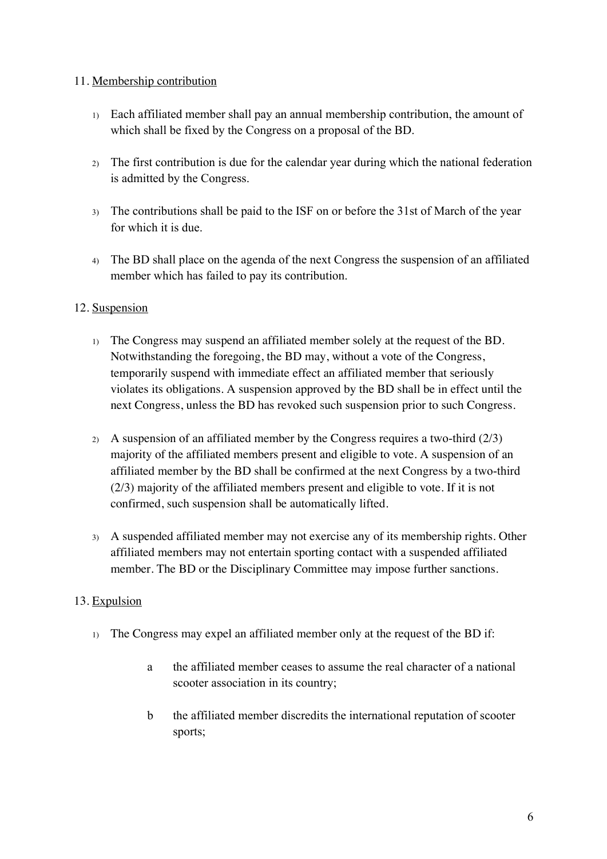#### 11. Membership contribution

- 1) Each affiliated member shall pay an annual membership contribution, the amount of which shall be fixed by the Congress on a proposal of the BD.
- 2) The first contribution is due for the calendar year during which the national federation is admitted by the Congress.
- 3) The contributions shall be paid to the ISF on or before the 31st of March of the year for which it is due.
- 4) The BD shall place on the agenda of the next Congress the suspension of an affiliated member which has failed to pay its contribution.

#### 12. Suspension

- 1) The Congress may suspend an affiliated member solely at the request of the BD. Notwithstanding the foregoing, the BD may, without a vote of the Congress, temporarily suspend with immediate effect an affiliated member that seriously violates its obligations. A suspension approved by the BD shall be in effect until the next Congress, unless the BD has revoked such suspension prior to such Congress.
- 2) A suspension of an affiliated member by the Congress requires a two-third (2/3) majority of the affiliated members present and eligible to vote. A suspension of an affiliated member by the BD shall be confirmed at the next Congress by a two-third (2/3) majority of the affiliated members present and eligible to vote. If it is not confirmed, such suspension shall be automatically lifted.
- 3) A suspended affiliated member may not exercise any of its membership rights. Other affiliated members may not entertain sporting contact with a suspended affiliated member. The BD or the Disciplinary Committee may impose further sanctions.

## 13. Expulsion

- 1) The Congress may expel an affiliated member only at the request of the BD if:
	- a the affiliated member ceases to assume the real character of a national scooter association in its country;
	- b the affiliated member discredits the international reputation of scooter sports;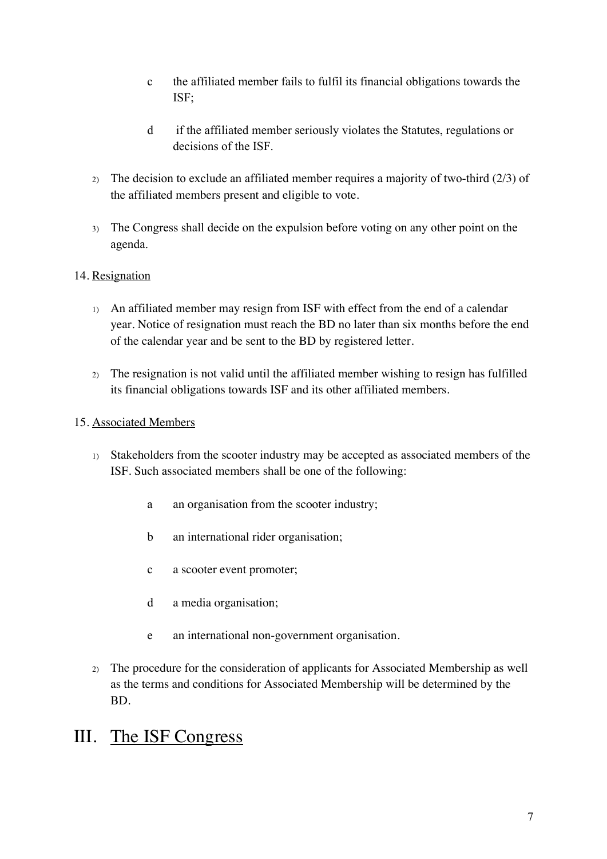- c the affiliated member fails to fulfil its financial obligations towards the ISF;
- d if the affiliated member seriously violates the Statutes, regulations or decisions of the ISF.
- 2) The decision to exclude an affiliated member requires a majority of two-third (2/3) of the affiliated members present and eligible to vote.
- 3) The Congress shall decide on the expulsion before voting on any other point on the agenda.

#### 14. Resignation

- 1) An affiliated member may resign from ISF with effect from the end of a calendar year. Notice of resignation must reach the BD no later than six months before the end of the calendar year and be sent to the BD by registered letter.
- 2) The resignation is not valid until the affiliated member wishing to resign has fulfilled its financial obligations towards ISF and its other affiliated members.

#### 15. Associated Members

- 1) Stakeholders from the scooter industry may be accepted as associated members of the ISF. Such associated members shall be one of the following:
	- a an organisation from the scooter industry;
	- b an international rider organisation;
	- c a scooter event promoter;
	- d a media organisation;
	- e an international non-government organisation.
- 2) The procedure for the consideration of applicants for Associated Membership as well as the terms and conditions for Associated Membership will be determined by the BD.

## III. The ISF Congress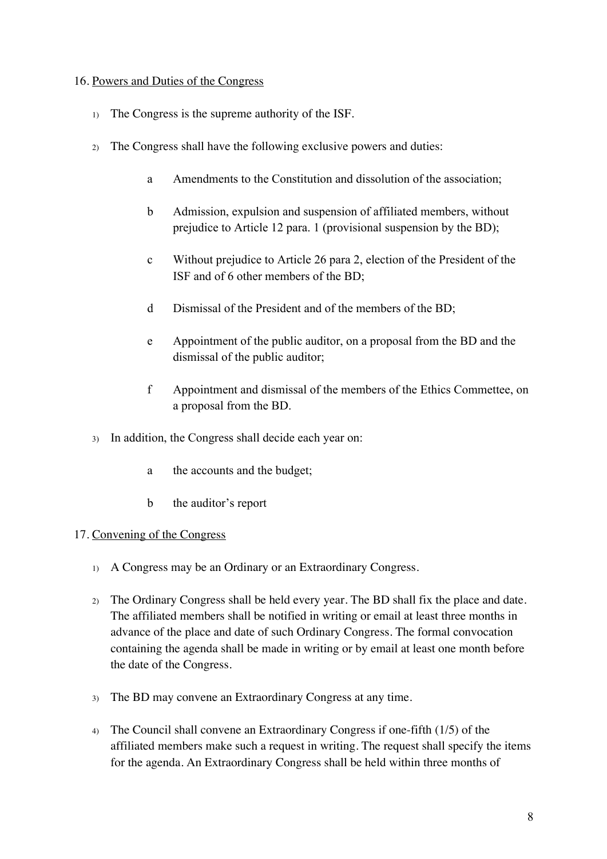#### 16. Powers and Duties of the Congress

- 1) The Congress is the supreme authority of the ISF.
- 2) The Congress shall have the following exclusive powers and duties:
	- a Amendments to the Constitution and dissolution of the association;
	- b Admission, expulsion and suspension of affiliated members, without prejudice to Article 12 para. 1 (provisional suspension by the BD);
	- c Without prejudice to Article 26 para 2, election of the President of the ISF and of 6 other members of the BD;
	- d Dismissal of the President and of the members of the BD;
	- e Appointment of the public auditor, on a proposal from the BD and the dismissal of the public auditor;
	- f Appointment and dismissal of the members of the Ethics Commettee, on a proposal from the BD.
- 3) In addition, the Congress shall decide each year on:
	- a the accounts and the budget;
	- b the auditor's report

#### 17. Convening of the Congress

- 1) A Congress may be an Ordinary or an Extraordinary Congress.
- 2) The Ordinary Congress shall be held every year. The BD shall fix the place and date. The affiliated members shall be notified in writing or email at least three months in advance of the place and date of such Ordinary Congress. The formal convocation containing the agenda shall be made in writing or by email at least one month before the date of the Congress.
- 3) The BD may convene an Extraordinary Congress at any time.
- 4) The Council shall convene an Extraordinary Congress if one-fifth (1/5) of the affiliated members make such a request in writing. The request shall specify the items for the agenda. An Extraordinary Congress shall be held within three months of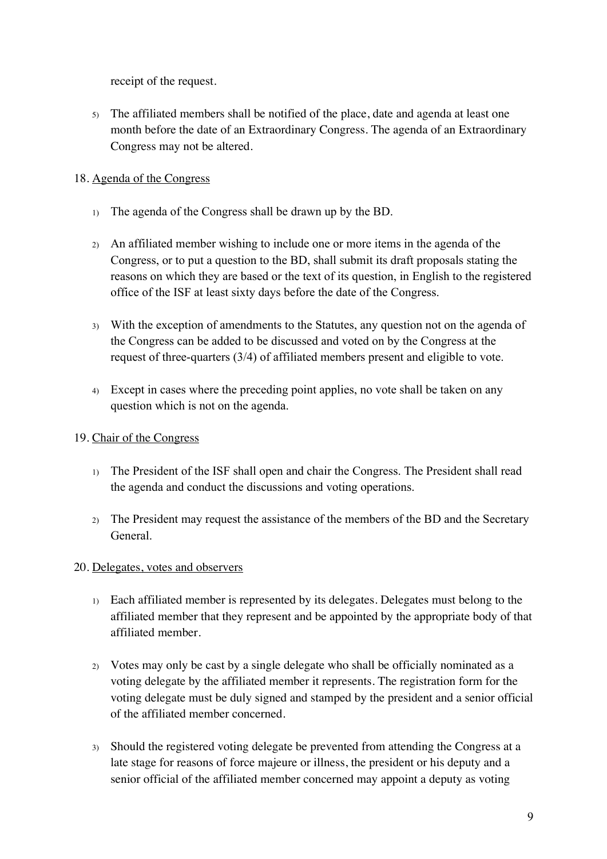receipt of the request.

5) The affiliated members shall be notified of the place, date and agenda at least one month before the date of an Extraordinary Congress. The agenda of an Extraordinary Congress may not be altered.

## 18. Agenda of the Congress

- 1) The agenda of the Congress shall be drawn up by the BD.
- 2) An affiliated member wishing to include one or more items in the agenda of the Congress, or to put a question to the BD, shall submit its draft proposals stating the reasons on which they are based or the text of its question, in English to the registered office of the ISF at least sixty days before the date of the Congress.
- 3) With the exception of amendments to the Statutes, any question not on the agenda of the Congress can be added to be discussed and voted on by the Congress at the request of three-quarters (3/4) of affiliated members present and eligible to vote.
- 4) Except in cases where the preceding point applies, no vote shall be taken on any question which is not on the agenda.

## 19. Chair of the Congress

- 1) The President of the ISF shall open and chair the Congress. The President shall read the agenda and conduct the discussions and voting operations.
- 2) The President may request the assistance of the members of the BD and the Secretary General.

## 20. Delegates, votes and observers

- 1) Each affiliated member is represented by its delegates. Delegates must belong to the affiliated member that they represent and be appointed by the appropriate body of that affiliated member.
- 2) Votes may only be cast by a single delegate who shall be officially nominated as a voting delegate by the affiliated member it represents. The registration form for the voting delegate must be duly signed and stamped by the president and a senior official of the affiliated member concerned.
- 3) Should the registered voting delegate be prevented from attending the Congress at a late stage for reasons of force majeure or illness, the president or his deputy and a senior official of the affiliated member concerned may appoint a deputy as voting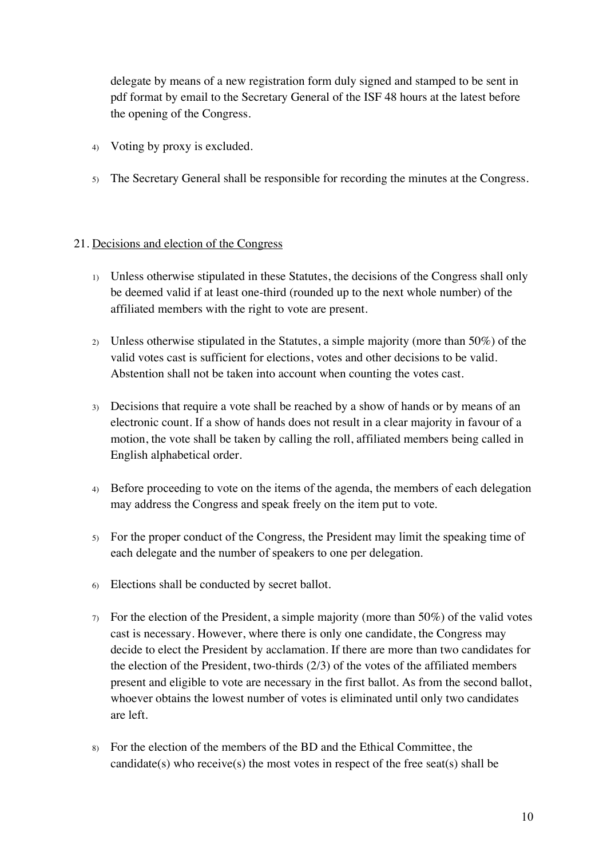delegate by means of a new registration form duly signed and stamped to be sent in pdf format by email to the Secretary General of the ISF 48 hours at the latest before the opening of the Congress.

- 4) Voting by proxy is excluded.
- 5) The Secretary General shall be responsible for recording the minutes at the Congress.

#### 21. Decisions and election of the Congress

- 1) Unless otherwise stipulated in these Statutes, the decisions of the Congress shall only be deemed valid if at least one-third (rounded up to the next whole number) of the affiliated members with the right to vote are present.
- 2) Unless otherwise stipulated in the Statutes, a simple majority (more than 50%) of the valid votes cast is sufficient for elections, votes and other decisions to be valid. Abstention shall not be taken into account when counting the votes cast.
- 3) Decisions that require a vote shall be reached by a show of hands or by means of an electronic count. If a show of hands does not result in a clear majority in favour of a motion, the vote shall be taken by calling the roll, affiliated members being called in English alphabetical order.
- 4) Before proceeding to vote on the items of the agenda, the members of each delegation may address the Congress and speak freely on the item put to vote.
- 5) For the proper conduct of the Congress, the President may limit the speaking time of each delegate and the number of speakers to one per delegation.
- 6) Elections shall be conducted by secret ballot.
- $7)$  For the election of the President, a simple majority (more than 50%) of the valid votes cast is necessary. However, where there is only one candidate, the Congress may decide to elect the President by acclamation. If there are more than two candidates for the election of the President, two-thirds (2/3) of the votes of the affiliated members present and eligible to vote are necessary in the first ballot. As from the second ballot, whoever obtains the lowest number of votes is eliminated until only two candidates are left.
- 8) For the election of the members of the BD and the Ethical Committee, the candidate(s) who receive(s) the most votes in respect of the free seat(s) shall be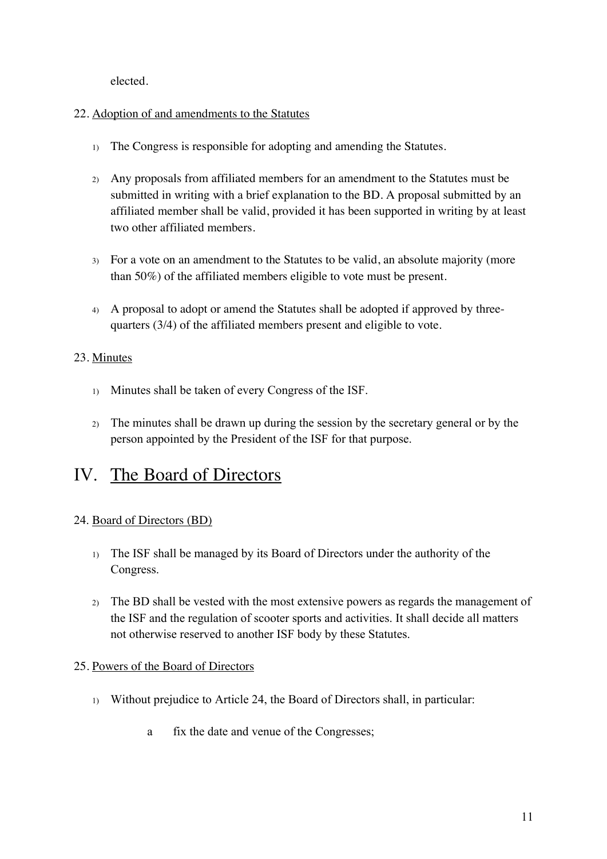elected.

#### 22. Adoption of and amendments to the Statutes

- 1) The Congress is responsible for adopting and amending the Statutes.
- 2) Any proposals from affiliated members for an amendment to the Statutes must be submitted in writing with a brief explanation to the BD. A proposal submitted by an affiliated member shall be valid, provided it has been supported in writing by at least two other affiliated members.
- 3) For a vote on an amendment to the Statutes to be valid, an absolute majority (more than 50%) of the affiliated members eligible to vote must be present.
- 4) A proposal to adopt or amend the Statutes shall be adopted if approved by threequarters (3/4) of the affiliated members present and eligible to vote.

## 23. Minutes

- 1) Minutes shall be taken of every Congress of the ISF.
- 2) The minutes shall be drawn up during the session by the secretary general or by the person appointed by the President of the ISF for that purpose.

## IV. The Board of Directors

#### 24. Board of Directors (BD)

- 1) The ISF shall be managed by its Board of Directors under the authority of the Congress.
- 2) The BD shall be vested with the most extensive powers as regards the management of the ISF and the regulation of scooter sports and activities. It shall decide all matters not otherwise reserved to another ISF body by these Statutes.

#### 25. Powers of the Board of Directors

- 1) Without prejudice to Article 24, the Board of Directors shall, in particular:
	- a fix the date and venue of the Congresses;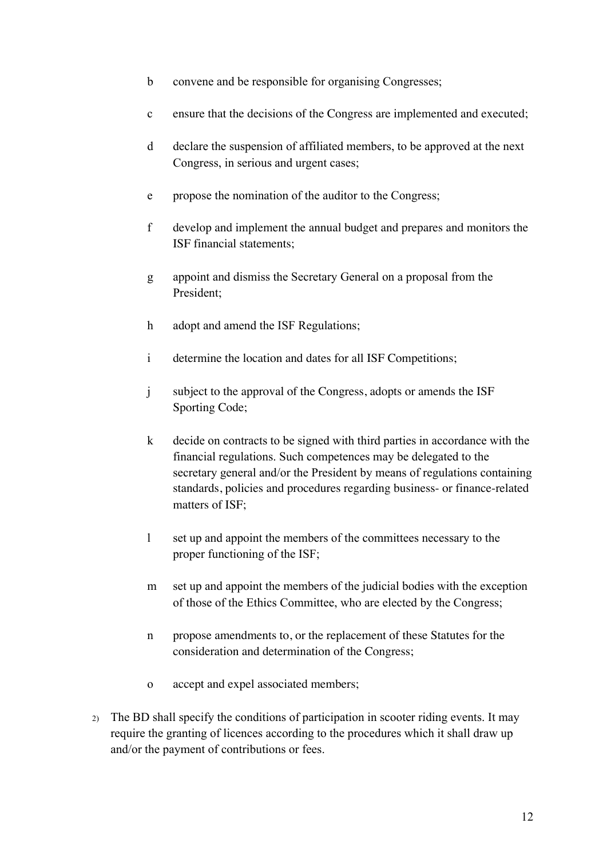- b convene and be responsible for organising Congresses;
- c ensure that the decisions of the Congress are implemented and executed;
- d declare the suspension of affiliated members, to be approved at the next Congress, in serious and urgent cases;
- e propose the nomination of the auditor to the Congress;
- f develop and implement the annual budget and prepares and monitors the ISF financial statements;
- g appoint and dismiss the Secretary General on a proposal from the President;
- h adopt and amend the ISF Regulations;
- i determine the location and dates for all ISF Competitions;
- j subject to the approval of the Congress, adopts or amends the ISF Sporting Code;
- k decide on contracts to be signed with third parties in accordance with the financial regulations. Such competences may be delegated to the secretary general and/or the President by means of regulations containing standards, policies and procedures regarding business- or finance-related matters of ISF;
- l set up and appoint the members of the committees necessary to the proper functioning of the ISF;
- m set up and appoint the members of the judicial bodies with the exception of those of the Ethics Committee, who are elected by the Congress;
- n propose amendments to, or the replacement of these Statutes for the consideration and determination of the Congress;
- o accept and expel associated members;
- 2) The BD shall specify the conditions of participation in scooter riding events. It may require the granting of licences according to the procedures which it shall draw up and/or the payment of contributions or fees.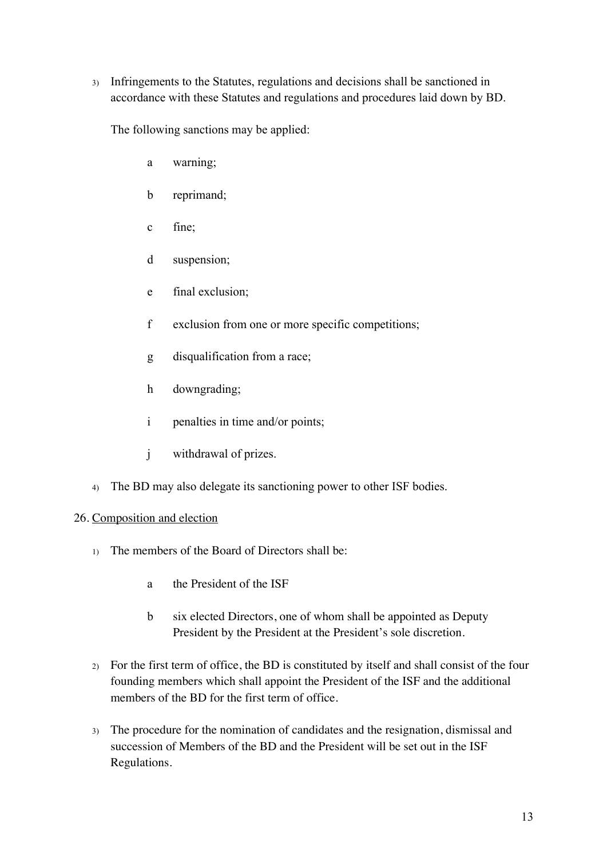3) Infringements to the Statutes, regulations and decisions shall be sanctioned in accordance with these Statutes and regulations and procedures laid down by BD.

The following sanctions may be applied:

- a warning;
- b reprimand;
- c fine;
- d suspension;
- e final exclusion;
- f exclusion from one or more specific competitions;
- g disqualification from a race;
- h downgrading;
- i penalties in time and/or points;
- j withdrawal of prizes.
- 4) The BD may also delegate its sanctioning power to other ISF bodies.

#### 26. Composition and election

- 1) The members of the Board of Directors shall be:
	- a the President of the ISF
	- b six elected Directors, one of whom shall be appointed as Deputy President by the President at the President's sole discretion.
- 2) For the first term of office, the BD is constituted by itself and shall consist of the four founding members which shall appoint the President of the ISF and the additional members of the BD for the first term of office.
- 3) The procedure for the nomination of candidates and the resignation, dismissal and succession of Members of the BD and the President will be set out in the ISF Regulations.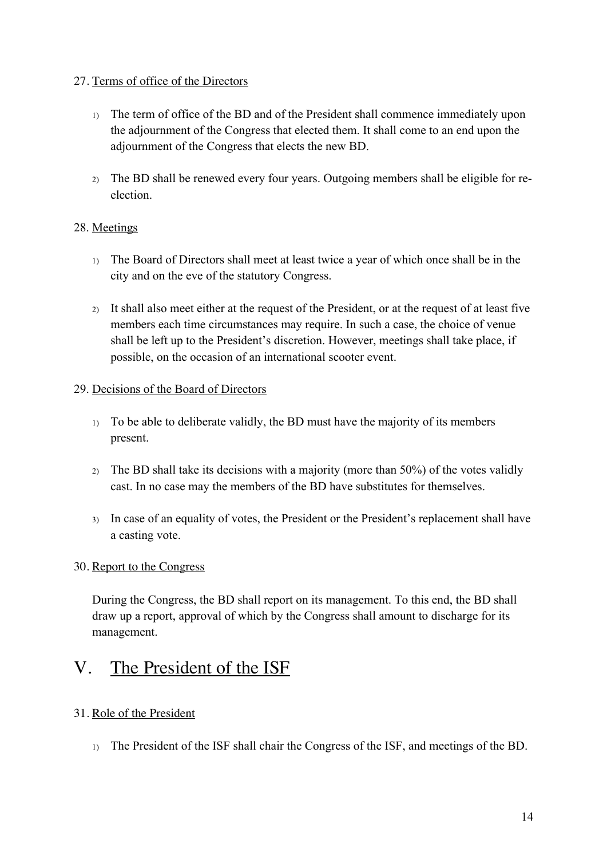#### 27. Terms of office of the Directors

- 1) The term of office of the BD and of the President shall commence immediately upon the adjournment of the Congress that elected them. It shall come to an end upon the adjournment of the Congress that elects the new BD.
- 2) The BD shall be renewed every four years. Outgoing members shall be eligible for reelection.

#### 28. Meetings

- 1) The Board of Directors shall meet at least twice a year of which once shall be in the city and on the eve of the statutory Congress.
- 2) It shall also meet either at the request of the President, or at the request of at least five members each time circumstances may require. In such a case, the choice of venue shall be left up to the President's discretion. However, meetings shall take place, if possible, on the occasion of an international scooter event.

#### 29. Decisions of the Board of Directors

- 1) To be able to deliberate validly, the BD must have the majority of its members present.
- 2) The BD shall take its decisions with a majority (more than 50%) of the votes validly cast. In no case may the members of the BD have substitutes for themselves.
- 3) In case of an equality of votes, the President or the President's replacement shall have a casting vote.

#### 30. Report to the Congress

During the Congress, the BD shall report on its management. To this end, the BD shall draw up a report, approval of which by the Congress shall amount to discharge for its management.

# V. The President of the ISF

## 31. Role of the President

1) The President of the ISF shall chair the Congress of the ISF, and meetings of the BD.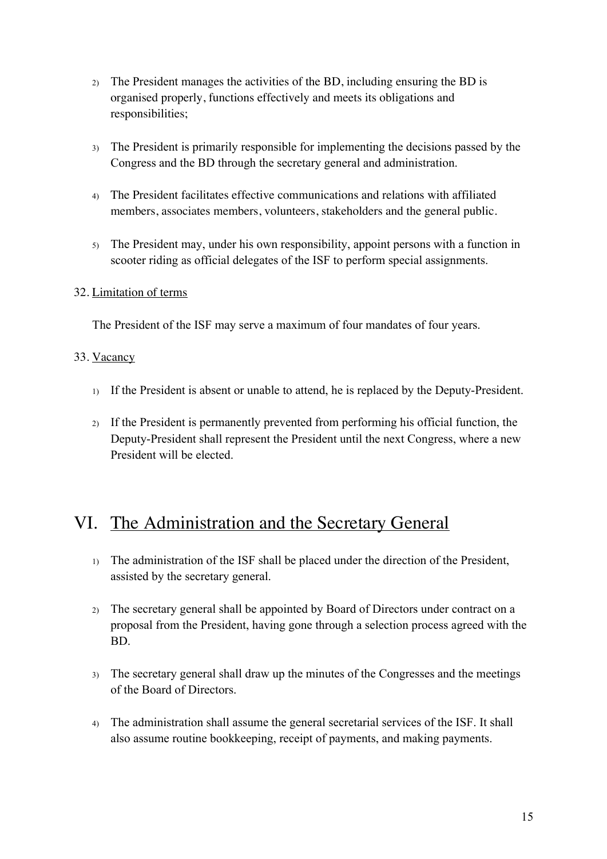- 2) The President manages the activities of the BD, including ensuring the BD is organised properly, functions effectively and meets its obligations and responsibilities;
- 3) The President is primarily responsible for implementing the decisions passed by the Congress and the BD through the secretary general and administration.
- 4) The President facilitates effective communications and relations with affiliated members, associates members, volunteers, stakeholders and the general public.
- 5) The President may, under his own responsibility, appoint persons with a function in scooter riding as official delegates of the ISF to perform special assignments.

#### 32. Limitation of terms

The President of the ISF may serve a maximum of four mandates of four years.

#### 33. Vacancy

- 1) If the President is absent or unable to attend, he is replaced by the Deputy-President.
- 2) If the President is permanently prevented from performing his official function, the Deputy-President shall represent the President until the next Congress, where a new President will be elected.

# VI. The Administration and the Secretary General

- 1) The administration of the ISF shall be placed under the direction of the President, assisted by the secretary general.
- 2) The secretary general shall be appointed by Board of Directors under contract on a proposal from the President, having gone through a selection process agreed with the BD.
- 3) The secretary general shall draw up the minutes of the Congresses and the meetings of the Board of Directors.
- 4) The administration shall assume the general secretarial services of the ISF. It shall also assume routine bookkeeping, receipt of payments, and making payments.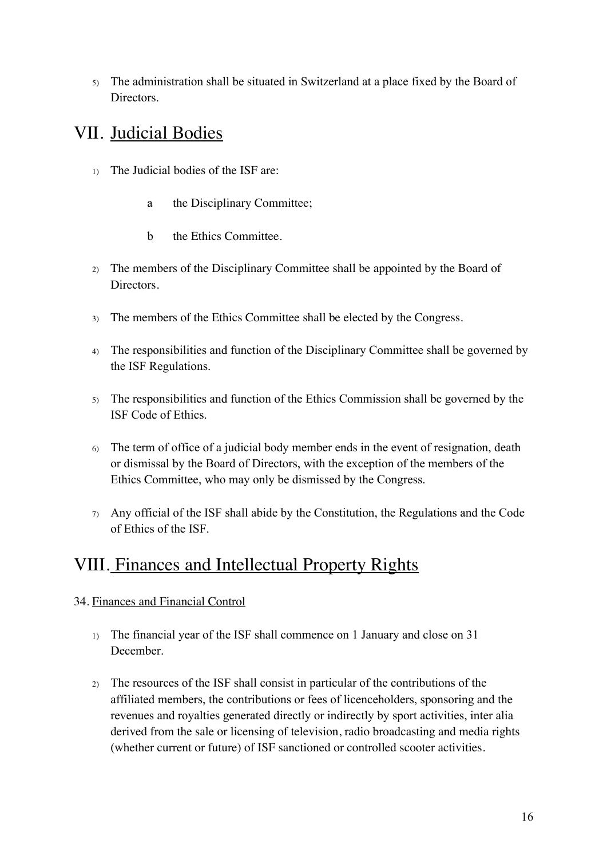5) The administration shall be situated in Switzerland at a place fixed by the Board of Directors.

# VII. Judicial Bodies

- 1) The Judicial bodies of the ISF are:
	- a the Disciplinary Committee;
	- b the Ethics Committee.
- 2) The members of the Disciplinary Committee shall be appointed by the Board of Directors.
- 3) The members of the Ethics Committee shall be elected by the Congress.
- 4) The responsibilities and function of the Disciplinary Committee shall be governed by the ISF Regulations.
- 5) The responsibilities and function of the Ethics Commission shall be governed by the ISF Code of Ethics.
- 6) The term of office of a judicial body member ends in the event of resignation, death or dismissal by the Board of Directors, with the exception of the members of the Ethics Committee, who may only be dismissed by the Congress.
- 7) Any official of the ISF shall abide by the Constitution, the Regulations and the Code of Ethics of the ISF.

# VIII. Finances and Intellectual Property Rights

## 34. Finances and Financial Control

- 1) The financial year of the ISF shall commence on 1 January and close on 31 December.
- 2) The resources of the ISF shall consist in particular of the contributions of the affiliated members, the contributions or fees of licenceholders, sponsoring and the revenues and royalties generated directly or indirectly by sport activities, inter alia derived from the sale or licensing of television, radio broadcasting and media rights (whether current or future) of ISF sanctioned or controlled scooter activities.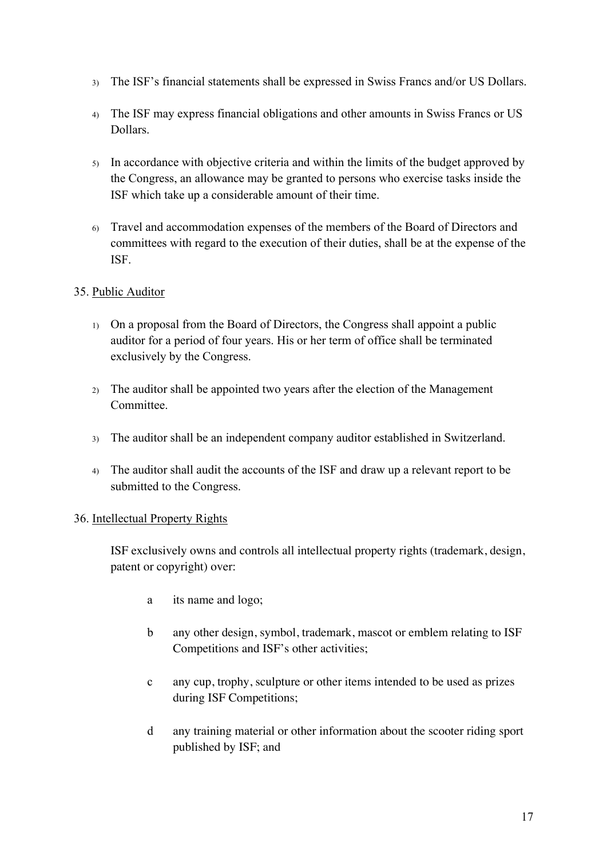- 3) The ISF's financial statements shall be expressed in Swiss Francs and/or US Dollars.
- 4) The ISF may express financial obligations and other amounts in Swiss Francs or US Dollars.
- 5) In accordance with objective criteria and within the limits of the budget approved by the Congress, an allowance may be granted to persons who exercise tasks inside the ISF which take up a considerable amount of their time.
- 6) Travel and accommodation expenses of the members of the Board of Directors and committees with regard to the execution of their duties, shall be at the expense of the ISF.

#### 35. Public Auditor

- 1) On a proposal from the Board of Directors, the Congress shall appoint a public auditor for a period of four years. His or her term of office shall be terminated exclusively by the Congress.
- 2) The auditor shall be appointed two years after the election of the Management Committee.
- 3) The auditor shall be an independent company auditor established in Switzerland.
- 4) The auditor shall audit the accounts of the ISF and draw up a relevant report to be submitted to the Congress.

#### 36. Intellectual Property Rights

ISF exclusively owns and controls all intellectual property rights (trademark, design, patent or copyright) over:

- a its name and logo;
- b any other design, symbol, trademark, mascot or emblem relating to ISF Competitions and ISF's other activities;
- c any cup, trophy, sculpture or other items intended to be used as prizes during ISF Competitions;
- d any training material or other information about the scooter riding sport published by ISF; and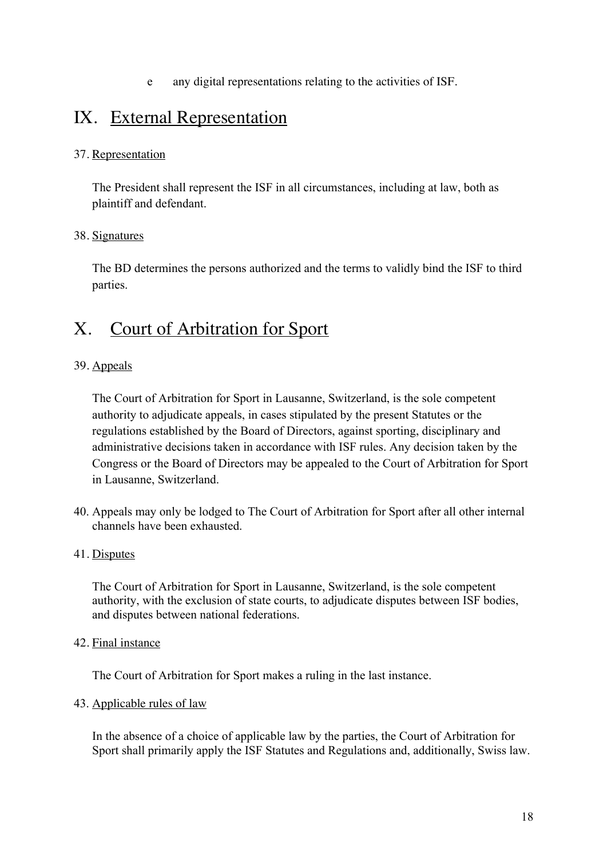e any digital representations relating to the activities of ISF.

## IX. External Representation

#### 37. Representation

The President shall represent the ISF in all circumstances, including at law, both as plaintiff and defendant.

#### 38. Signatures

The BD determines the persons authorized and the terms to validly bind the ISF to third parties.

## X. Court of Arbitration for Sport

#### 39. Appeals

The Court of Arbitration for Sport in Lausanne, Switzerland, is the sole competent authority to adjudicate appeals, in cases stipulated by the present Statutes or the regulations established by the Board of Directors, against sporting, disciplinary and administrative decisions taken in accordance with ISF rules. Any decision taken by the Congress or the Board of Directors may be appealed to the Court of Arbitration for Sport in Lausanne, Switzerland.

40. Appeals may only be lodged to The Court of Arbitration for Sport after all other internal channels have been exhausted.

#### 41. Disputes

The Court of Arbitration for Sport in Lausanne, Switzerland, is the sole competent authority, with the exclusion of state courts, to adjudicate disputes between ISF bodies, and disputes between national federations.

#### 42. Final instance

The Court of Arbitration for Sport makes a ruling in the last instance.

#### 43. Applicable rules of law

In the absence of a choice of applicable law by the parties, the Court of Arbitration for Sport shall primarily apply the ISF Statutes and Regulations and, additionally, Swiss law.